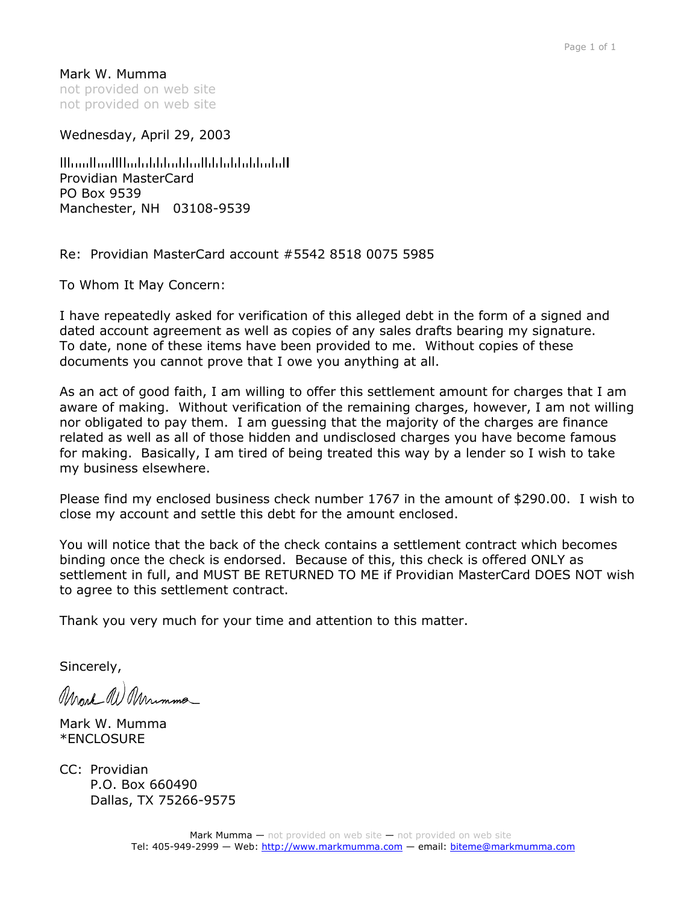Mark W. Mumma not provided on web site not provided on web site

Wednesday, April 29, 2003

المسابسا والمارا استاران وارابيل والالسراليون الترابيا Providian MasterCard PO Box 9539 Manchester, NH 03108-9539

Re: Providian MasterCard account #5542 8518 0075 5985

To Whom It May Concern:

I have repeatedly asked for verification of this alleged debt in the form of a signed and dated account agreement as well as copies of any sales drafts bearing my signature. To date, none of these items have been provided to me. Without copies of these documents you cannot prove that I owe you anything at all.

As an act of good faith, I am willing to offer this settlement amount for charges that I am aware of making. Without verification of the remaining charges, however, I am not willing nor obligated to pay them. I am guessing that the majority of the charges are finance related as well as all of those hidden and undisclosed charges you have become famous for making. Basically, I am tired of being treated this way by a lender so I wish to take my business elsewhere.

Please find my enclosed business check number 1767 in the amount of \$290.00. I wish to close my account and settle this debt for the amount enclosed.

You will notice that the back of the check contains a settlement contract which becomes binding once the check is endorsed. Because of this, this check is offered ONLY as settlement in full, and MUST BE RETURNED TO ME if Providian MasterCard DOES NOT wish to agree to this settlement contract.

Thank you very much for your time and attention to this matter.

Sincerely,

Mark W Mrumme

Mark W. Mumma \*ENCLOSURE

CC: Providian P.O. Box 660490 Dallas, TX 75266-9575